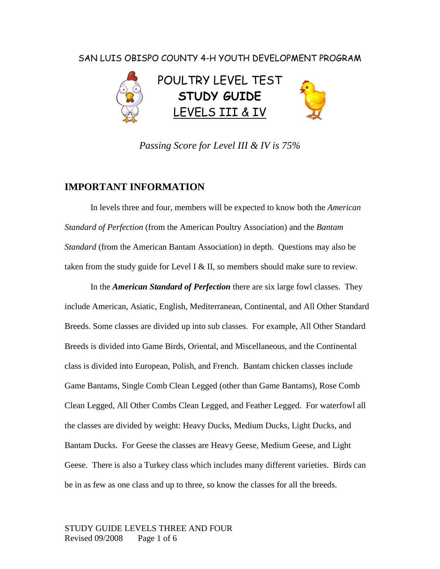### SAN LUIS OBISPO COUNTY 4-H YOUTH DEVELOPMENT PROGRAM



*Passing Score for Level III & IV is 75%*

#### **IMPORTANT INFORMATION**

In levels three and four, members will be expected to know both the *American Standard of Perfection* (from the American Poultry Association) and the *Bantam Standard* (from the American Bantam Association) in depth. Questions may also be taken from the study guide for Level I  $&$  II, so members should make sure to review.

In the *American Standard of Perfection* there are six large fowl classes. They include American, Asiatic, English, Mediterranean, Continental, and All Other Standard Breeds. Some classes are divided up into sub classes. For example, All Other Standard Breeds is divided into Game Birds, Oriental, and Miscellaneous, and the Continental class is divided into European, Polish, and French. Bantam chicken classes include Game Bantams, Single Comb Clean Legged (other than Game Bantams), Rose Comb Clean Legged, All Other Combs Clean Legged, and Feather Legged. For waterfowl all the classes are divided by weight: Heavy Ducks, Medium Ducks, Light Ducks, and Bantam Ducks. For Geese the classes are Heavy Geese, Medium Geese, and Light Geese. There is also a Turkey class which includes many different varieties. Birds can be in as few as one class and up to three, so know the classes for all the breeds.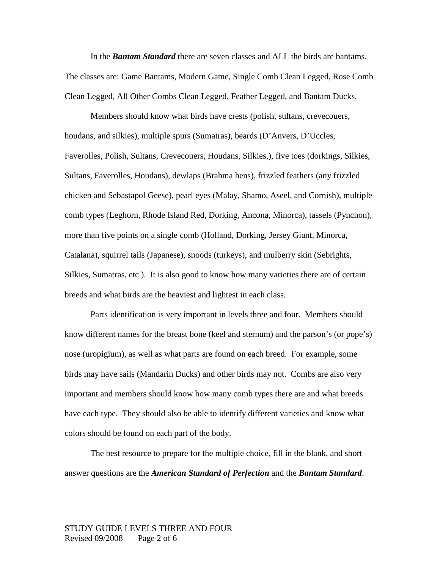In the *Bantam Standard* there are seven classes and ALL the birds are bantams. The classes are: Game Bantams, Modern Game, Single Comb Clean Legged, Rose Comb Clean Legged, All Other Combs Clean Legged, Feather Legged, and Bantam Ducks.

Members should know what birds have crests (polish, sultans, crevecouers, houdans, and silkies), multiple spurs (Sumatras), beards (D'Anvers, D'Uccles, Faverolles, Polish, Sultans, Crevecouers, Houdans, Silkies,), five toes (dorkings, Silkies, Sultans, Faverolles, Houdans), dewlaps (Brahma hens), frizzled feathers (any frizzled chicken and Sebastapol Geese), pearl eyes (Malay, Shamo, Aseel, and Cornish), multiple comb types (Leghorn, Rhode Island Red, Dorking, Ancona, Minorca), tassels (Pynchon), more than five points on a single comb (Holland, Dorking, Jersey Giant, Minorca, Catalana), squirrel tails (Japanese), snoods (turkeys), and mulberry skin (Sebrights, Silkies, Sumatras, etc.). It is also good to know how many varieties there are of certain breeds and what birds are the heaviest and lightest in each class.

Parts identification is very important in levels three and four. Members should know different names for the breast bone (keel and sternum) and the parson's (or pope's) nose (uropigium), as well as what parts are found on each breed. For example, some birds may have sails (Mandarin Ducks) and other birds may not. Combs are also very important and members should know how many comb types there are and what breeds have each type. They should also be able to identify different varieties and know what colors should be found on each part of the body.

The best resource to prepare for the multiple choice, fill in the blank, and short answer questions are the *American Standard of Perfection* and the *Bantam Standard*.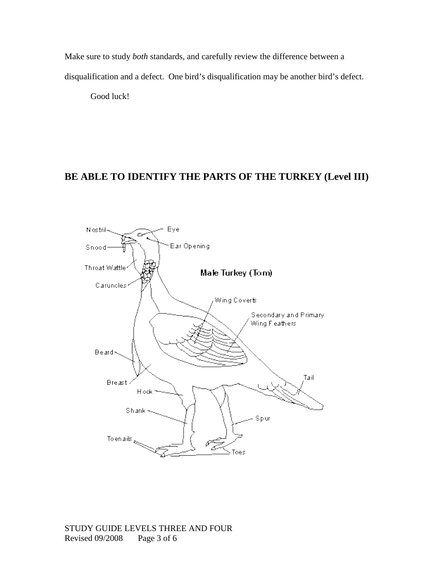Make sure to study *both* standards, and carefully review the difference between a disqualification and a defect. One bird's disqualification may be another bird's defect.

Good luck!

### **BE ABLE TO IDENTIFY THE PARTS OF THE TURKEY (Level III)**

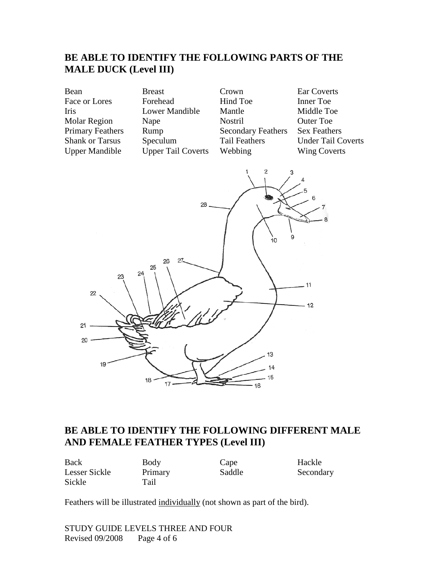# **BE ABLE TO IDENTIFY THE FOLLOWING PARTS OF THE MALE DUCK (Level III)**

| Bean                    | <b>Breast</b>             | Crown                     | Ear Coverts               |
|-------------------------|---------------------------|---------------------------|---------------------------|
| Face or Lores           | Forehead                  | Hind Toe                  | Inner Toe                 |
| Iris                    | Lower Mandible            | Mantle                    | Middle Toe                |
| <b>Molar Region</b>     | Nape                      | <b>Nostril</b>            | <b>Outer Toe</b>          |
| <b>Primary Feathers</b> | Rump                      | <b>Secondary Feathers</b> | <b>Sex Feathers</b>       |
| <b>Shank or Tarsus</b>  | Speculum                  | <b>Tail Feathers</b>      | <b>Under Tail Coverts</b> |
| <b>Upper Mandible</b>   | <b>Upper Tail Coverts</b> | Webbing                   | <b>Wing Coverts</b>       |
|                         |                           |                           |                           |



## **BE ABLE TO IDENTIFY THE FOLLOWING DIFFERENT MALE AND FEMALE FEATHER TYPES (Level III)**

Back Body Cape Hackle Lesser Sickle Primary Saddle Secondary Sickle Tail

Feathers will be illustrated individually (not shown as part of the bird).

STUDY GUIDE LEVELS THREE AND FOUR Revised 09/2008 Page 4 of 6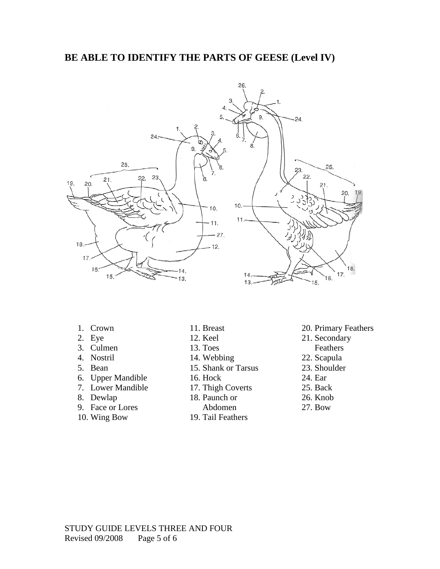### **BE ABLE TO IDENTIFY THE PARTS OF GEESE (Level IV)**



- 1. Crown
- 2. Eye
- 3. Culmen
- 4. Nostril
- 5. Bean
- 6. Upper Mandible
- 7. Lower Mandible
- 8. Dewlap
- 9. Face or Lores
- 10. Wing Bow
- 11. Breast
- 12. Keel
- 13. Toes
- 14. Webbing
- 15. Shank or Tarsus
- 16. Hock
- 17. Thigh Coverts
- 18. Paunch or
	- Abdomen
- 
- 19. Tail Feathers
- 20. Primary Feathers
- 21. Secondary
	- Feathers
- 22. Scapula
- 23. Shoulder
- 24. Ear
- 25. Back
- 26. Knob
- 27. Bow